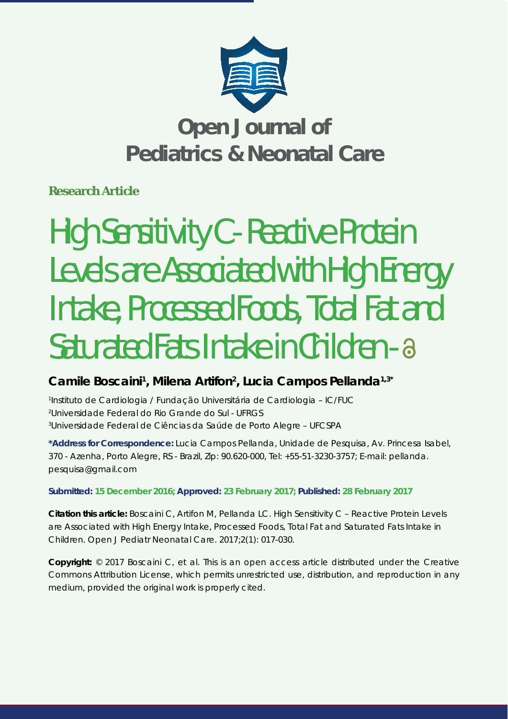

# **Open Journal of Pediatrics & Neonatal Care**

**Research Article**

# High Sensitivity C - Reactive Protein Levels are Associated with High Energy Intake, Processed Foods, Total Fat and Saturated Fats Intake in Children - a

## Camile Boscaini<sup>1</sup>, Milena Artifon<sup>2</sup>, Lucia Campos Pellanda<sup>1,3\*</sup>

*1 Instituto de Cardiologia / Fundação Universitária de Cardiologia – IC/FUC 2 Universidade Federal do Rio Grande do Sul - UFRGS 3 Universidade Federal de Ciências da Saúde de Porto Alegre – UFCSPA*

**\*Address for Correspondence:** Lucia Campos Pellanda, Unidade de Pesquisa, Av. Princesa Isabel, 370 - Azenha, Porto Alegre, RS - Brazil, Zip: 90.620-000, Tel: +55-51-3230-3757; E-mail: pellanda. pesquisa@gmail.com

## **Submitted: 15 December 2016; Approved: 23 February 2017; Published: 28 February 2017**

**Citation this article:** Boscaini C, Artifon M, Pellanda LC. High Sensitivity C – Reactive Protein Levels are Associated with High Energy Intake, Processed Foods, Total Fat and Saturated Fats Intake in Children. Open J Pediatr Neonatal Care. 2017;2(1): 017-030.

**Copyright:** © 2017 Boscaini C, et al. This is an open access article distributed under the Creative Commons Attribution License, which permits unrestricted use, distribution, and reproduction in any medium, provided the original work is properly cited.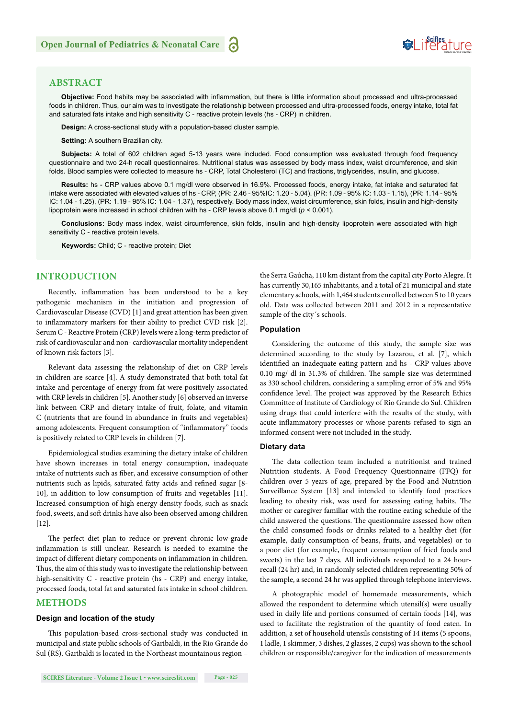## Suifes ture

#### **ABSTRACT**

Objective: Food habits may be associated with inflammation, but there is little information about processed and ultra-processed foods in children. Thus, our aim was to investigate the relationship between processed and ultra-processed foods, energy intake, total fat and saturated fats intake and high sensitivity C - reactive protein levels (hs - CRP) in children.

**Design:** A cross-sectional study with a population-based cluster sample.

**Setting: A southern Brazilian city.** 

**Subjects:** A total of 602 children aged 5-13 years were included. Food consumption was evaluated through food frequency questionnaire and two 24-h recall questionnaires. Nutritional status was assessed by body mass index, waist circumference, and skin folds. Blood samples were collected to measure hs - CRP, Total Cholesterol (TC) and fractions, triglycerides, insulin, and glucose.

**Results:** hs - CRP values above 0.1 mg/dl were observed in 16.9%. Processed foods, energy intake, fat intake and saturated fat intake were associated with elevated values of hs - CRP, (PR: 2.46 - 95%IC: 1.20 - 5.04). (PR: 1.09 - 95% IC: 1.03 - 1.15), (PR: 1.14 - 95% IC: 1.04 - 1.25), (PR: 1.19 - 95% IC: 1.04 - 1.37), respectively. Body mass index, waist circumference, skin folds, insulin and high-density lipoprotein were increased in school children with hs - CRP levels above 0.1 mg/dl (*p* < 0.001).

**Conclusions:** Body mass index, waist circumference, skin folds, insulin and high-density lipoprotein were associated with high sensitivity C - reactive protein levels.

**Keywords:** Child; C - reactive protein; Diet

#### **INTRODUCTION**

Recently, inflammation has been understood to be a key pathogenic mechanism in the initiation and progression of Cardiovascular Disease (CVD) [1] and great attention has been given to inflammatory markers for their ability to predict CVD risk [2]. Serum C - Reactive Protein (CRP) levels were a long-term predictor of risk of cardiovascular and non- cardiovascular mortality independent of known risk factors [3].

Relevant data assessing the relationship of diet on CRP levels in children are scarce [4]. A study demonstrated that both total fat intake and percentage of energy from fat were positively associated with CRP levels in children [5]. Another study [6] observed an inverse link between CRP and dietary intake of fruit, folate, and vitamin C (nutrients that are found in abundance in fruits and vegetables) among adolescents. Frequent consumption of "inflammatory" foods is positively related to CRP levels in children [7].

Epidemiological studies examining the dietary intake of children have shown increases in total energy consumption, inadequate intake of nutrients such as fiber, and excessive consumption of other nutrients such as lipids, saturated fatty acids and refined sugar [8-10], in addition to low consumption of fruits and vegetables [11]. Increased consumption of high energy density foods, such as snack food, sweets, and soft drinks have also been observed among children [12].

The perfect diet plan to reduce or prevent chronic low-grade inflammation is still unclear. Research is needed to examine the impact of different dietary components on inflammation in children. Thus, the aim of this study was to investigate the relationship between high-sensitivity C - reactive protein (hs - CRP) and energy intake, processed foods, total fat and saturated fats intake in school children.

#### **METHODS**

#### **Design and location of the study**

This population-based cross-sectional study was conducted in municipal and state public schools of Garibaldi, in the Rio Grande do Sul (RS). Garibaldi is located in the Northeast mountainous region – the Serra Gaúcha, 110 km distant from the capital city Porto Alegre. It has currently 30,165 inhabitants, and a total of 21 municipal and state elementary schools, with 1,464 students enrolled between 5 to 10 years old. Data was collected between 2011 and 2012 in a representative sample of the city´s schools.

#### **Population**

Considering the outcome of this study, the sample size was determined according to the study by Lazarou, et al. [7], which identified an inadequate eating pattern and hs - CRP values above  $0.10$  mg/ dl in 31.3% of children. The sample size was determined as 330 school children, considering a sampling error of 5% and 95% confidence level. The project was approved by the Research Ethics Committee of Institute of Cardiology of Rio Grande do Sul. Children using drugs that could interfere with the results of the study, with acute inflammatory processes or whose parents refused to sign an informed consent were not included in the study.

#### **Dietary data**

The data collection team included a nutritionist and trained Nutrition students. A Food Frequency Questionnaire (FFQ) for children over 5 years of age, prepared by the Food and Nutrition Surveillance System [13] and intended to identify food practices leading to obesity risk, was used for assessing eating habits. The mother or caregiver familiar with the routine eating schedule of the child answered the questions. The questionnaire assessed how often the child consumed foods or drinks related to a healthy diet (for example, daily consumption of beans, fruits, and vegetables) or to a poor diet (for example, frequent consumption of fried foods and sweets) in the last 7 days. All individuals responded to a 24 hourrecall (24 hr) and, in randomly selected children representing 50% of the sample, a second 24 hr was applied through telephone interviews.

A photographic model of homemade measurements, which allowed the respondent to determine which utensil(s) were usually used in daily life and portions consumed of certain foods [14], was used to facilitate the registration of the quantity of food eaten. In addition, a set of household utensils consisting of 14 items (5 spoons, 1 ladle, 1 skimmer, 3 dishes, 2 glasses, 2 cups) was shown to the school children or responsible/caregiver for the indication of measurements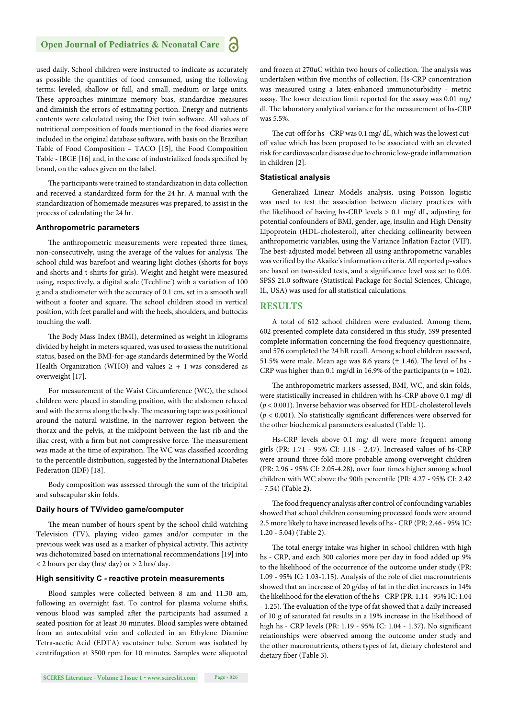#### **Open Journal of Pediatrics & Neonatal Care** 'n

used daily. School children were instructed to indicate as accurately as possible the quantities of food consumed, using the following terms: leveled, shallow or full, and small, medium or large units. These approaches minimize memory bias, standardize measures and diminish the errors of estimating portion. Energy and nutrients contents were calculated using the Diet twin software. All values of nutritional composition of foods mentioned in the food diaries were included in the original database software, with basis on the Brazilian Table of Food Composition – TACO [15], the Food Composition Table - IBGE [16] and, in the case of industrialized foods specified by brand, on the values given on the label.

The participants were trained to standardization in data collection and received a standardized form for the 24 hr. A manual with the standardization of homemade measures was prepared, to assist in the process of calculating the 24 hr.

#### **Anthropometric parameters**

The anthropometric measurements were repeated three times, non-consecutively, using the average of the values for analysis. The school child was barefoot and wearing light clothes (shorts for boys and shorts and t-shirts for girls). Weight and height were measured using, respectively, a digital scale (Techline<sup>\*</sup>) with a variation of 100 g and a stadiometer with the accuracy of 0.1 cm, set in a smooth wall without a footer and square. The school children stood in vertical position, with feet parallel and with the heels, shoulders, and buttocks touching the wall.

The Body Mass Index (BMI), determined as weight in kilograms divided by height in meters squared, was used to assess the nutritional status, based on the BMI-for-age standards determined by the World Health Organization (WHO) and values  $\geq +1$  was considered as overweight [17].

For measurement of the Waist Circumference (WC), the school children were placed in standing position, with the abdomen relaxed and with the arms along the body. The measuring tape was positioned around the natural waistline, in the narrower region between the thorax and the pelvis, at the midpoint between the last rib and the iliac crest, with a firm but not compressive force. The measurement was made at the time of expiration. The WC was classified according to the percentile distribution, suggested by the International Diabetes Federation (IDF) [18].

Body composition was assessed through the sum of the tricipital and subscapular skin folds.

#### **Daily hours of TV/video game/computer**

The mean number of hours spent by the school child watching Television (TV), playing video games and/or computer in the previous week was used as a marker of physical activity. This activity was dichotomized based on international recommendations [19] into < 2 hours per day (hrs/ day) or > 2 hrs/ day.

#### **High sensitivity C - reactive protein measurements**

Blood samples were collected between 8 am and 11.30 am, following an overnight fast. To control for plasma volume shifts, venous blood was sampled after the participants had assumed a seated position for at least 30 minutes. Blood samples were obtained from an antecubital vein and collected in an Ethylene Diamine Tetra-acetic Acid (EDTA) vacutainer tube. Serum was isolated by centrifugation at 3500 rpm for 10 minutes. Samples were aliquoted and frozen at 270uC within two hours of collection. The analysis was undertaken within five months of collection. Hs-CRP concentration was measured using a latex-enhanced immunoturbidity - metric assay. The lower detection limit reported for the assay was 0.01 mg/ dl. The laboratory analytical variance for the measurement of hs-CRP was 5.5%.

The cut-off for hs - CRP was 0.1 mg/ dL, which was the lowest cutoff value which has been proposed to be associated with an elevated risk for cardiovascular disease due to chronic low-grade inflammation in children [2].

#### **Statistical analysis**

Generalized Linear Models analysis, using Poisson logistic was used to test the association between dietary practices with the likelihood of having hs-CRP levels > 0.1 mg/ dL, adjusting for potential confounders of BMI, gender, age, insulin and High Density Lipoprotein (HDL-cholesterol), after checking collinearity between anthropometric variables, using the Variance Inflation Factor (VIF). The best-adjusted model between all using anthropometric variables was verified by the Akaike's information criteria. All reported p-values are based on two-sided tests, and a significance level was set to 0.05. SPSS 21.0 software (Statistical Package for Social Sciences, Chicago, IL, USA) was used for all statistical calculations.

#### **RESULTS**

A total of 612 school children were evaluated. Among them, 602 presented complete data considered in this study, 599 presented complete information concerning the food frequency questionnaire, and 576 completed the 24 hR recall. Among school children assessed, 51.5% were male. Mean age was 8.6 years  $(\pm 1.46)$ . The level of hs -CRP was higher than 0.1 mg/dl in 16.9% of the participants ( $n = 102$ ).

The anthropometric markers assessed, BMI, WC, and skin folds, were statistically increased in children with hs-CRP above 0.1 mg/ dl (*p* < 0.001). Inverse behavior was observed for HDL-cholesterol levels ( $p < 0.001$ ). No statistically significant differences were observed for the other biochemical parameters evaluated (Table 1).

Hs-CRP levels above 0.1 mg/ dl were more frequent among girls (PR: 1.71 - 95% CI: 1.18 - 2.47). Increased values of hs-CRP were around three-fold more probable among overweight children (PR: 2.96 - 95% CI: 2.05-4.28), over four times higher among school children with WC above the 90th percentile (PR: 4.27 - 95% CI: 2.42 - 7.54) (Table 2).

The food frequency analysis after control of confounding variables showed that school children consuming processed foods were around 2.5 more likely to have increased levels of hs - CRP (PR: 2.46 - 95% IC: 1.20 - 5.04) (Table 2).

The total energy intake was higher in school children with high hs - CRP, and each 300 calories more per day in food added up 9% to the likelihood of the occurrence of the outcome under study (PR: 1.09 - 95% IC: 1.03-1.15). Analysis of the role of diet macronutrients showed that an increase of 20 g/day of fat in the diet increases in 14% the likelihood for the elevation of the hs - CRP (PR: 1.14 - 95% IC: 1.04 - 1.25). The evaluation of the type of fat showed that a daily increased of 10 g of saturated fat results in a 19% increase in the likelihood of high hs - CRP levels (PR: 1.19 - 95% IC: 1.04 - 1.37). No significant relationships were observed among the outcome under study and the other macronutrients, others types of fat, dietary cholesterol and dietary fiber (Table 3).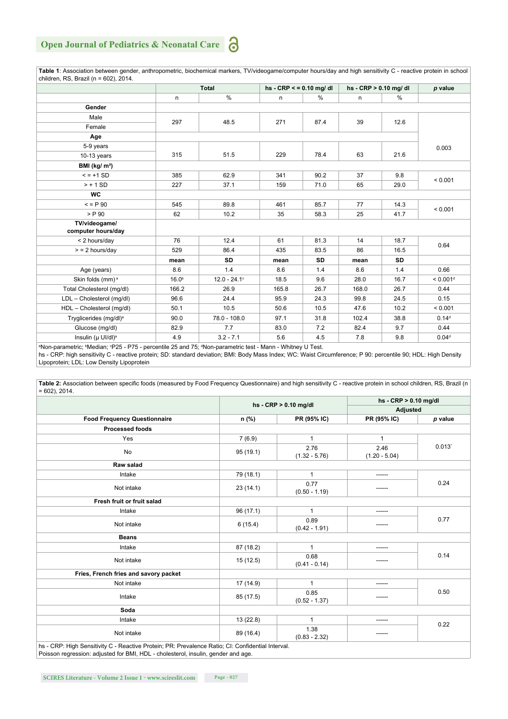#### **Open Journal of Pediatrics & Neonatal Care** 6

| children, RS, Brazil ( $n = 602$ ), 2014.                                                                  |                   |                 |       |                         |       |                         |                      |  |
|------------------------------------------------------------------------------------------------------------|-------------------|-----------------|-------|-------------------------|-------|-------------------------|----------------------|--|
|                                                                                                            |                   | <b>Total</b>    |       | $hs - CRP < 0.10$ mg/dl |       | hs - $CRP > 0.10$ mg/dl |                      |  |
|                                                                                                            | n                 | $\frac{0}{0}$   | n     | $\%$                    | n     | %                       |                      |  |
| <b>Gender</b>                                                                                              |                   |                 |       |                         |       |                         |                      |  |
| Male                                                                                                       |                   | 48.5            | 271   | 87.4                    | 39    | 12.6                    |                      |  |
| Female                                                                                                     | 297               |                 |       |                         |       |                         |                      |  |
| Age                                                                                                        |                   |                 |       |                         |       |                         |                      |  |
| 5-9 years                                                                                                  |                   | 51.5            | 229   | 78.4                    | 63    | 21.6                    | 0.003                |  |
| $10-13$ years                                                                                              | 315               |                 |       |                         |       |                         |                      |  |
| BMI ( $kg/m2$ )                                                                                            |                   |                 |       |                         |       |                         |                      |  |
| $= +1$ SD                                                                                                  | 385               | 62.9            | 341   | 90.2                    | 37    | 9.8                     | < 0.001              |  |
| $> + 1$ SD                                                                                                 | 227               | 37.1            | 159   | 71.0                    | 65    | 29.0                    |                      |  |
| <b>WC</b>                                                                                                  |                   |                 |       |                         |       |                         |                      |  |
| $= P.90$                                                                                                   | 545               | 89.8            | 461   | 85.7                    | 77    | 14.3                    | < 0.001              |  |
| $>$ P 90                                                                                                   | 62                | 10.2            | 35    | 58.3                    | 25    | 41.7                    |                      |  |
| TV/videogame/                                                                                              |                   |                 |       |                         |       |                         |                      |  |
| computer hours/day                                                                                         |                   |                 |       |                         |       |                         |                      |  |
| < 2 hours/day                                                                                              | 76                | 12.4            | 61    | 81.3                    | 14    | 18.7                    | 0.64                 |  |
| $>$ = 2 hours/day                                                                                          | 529               | 86.4            | 435   | 83.5                    | 86    | 16.5                    |                      |  |
|                                                                                                            | mean              | SD              | mean  | SD                      | mean  | SD                      |                      |  |
| Age (years)                                                                                                | 8.6               | 1.4             | 8.6   | 1.4                     | 8.6   | 1.4                     | 0.66                 |  |
| Skin folds (mm) <sup>a</sup>                                                                               | 16.0 <sup>b</sup> | $12.0 - 24.1$ ° | 18.5  | 9.6                     | 28.0  | 16.7                    | < 0.001 <sup>d</sup> |  |
| Total Cholesterol (mg/dl)                                                                                  | 166.2             | 26.9            | 165.8 | 26.7                    | 168.0 | 26.7                    | 0.44                 |  |
| LDL - Cholesterol (mg/dl)                                                                                  | 96.6              | 24.4            | 95.9  | 24.3                    | 99.8  | 24.5                    | 0.15                 |  |
| HDL - Cholesterol (mg/dl)                                                                                  | 50.1              | 10.5            | 50.6  | 10.5                    | 47.6  | 10.2                    | < 0.001              |  |
| Tryglicerides (mg/dl) <sup>a</sup>                                                                         | 90.0              | 78.0 - 108.0    | 97.1  | 31.8                    | 102.4 | 38.8                    | 0.14 <sup>d</sup>    |  |
| Glucose (mg/dl)                                                                                            | 82.9              | 7.7             | 83.0  | 7.2                     | 82.4  | 9.7                     | 0.44                 |  |
| Insulin (µ UI/dl) <sup>a</sup>                                                                             | 4.9               | $3.2 - 7.1$     | 5.6   | 4.5                     | 7.8   | 9.8                     | 0.04 <sup>d</sup>    |  |
| aNon-parametric; bMedian; pP25 - P75 - percentile 25 and 75; dNon-parametric test - Mann - Whitney U Test. |                   |                 |       |                         |       |                         |                      |  |

 **Table 1**: Association between gender, anthropometric, biochemical markers, TV/videogame/computer hours/day and high sensitivity C - reactive protein in school children, RS, Brazil (n = 602), 2014.

hs - CRP: high sensitivity C - reactive protein; SD: standard deviation; BMI: Body Mass Index; WC: Waist Circumference; P 90: percentile 90; HDL: High Density Lipoprotein; LDL: Low Density Lipoprotein

Table 2: Association between specific foods (measured by Food Frequency Questionnaire) and high sensitivity C - reactive protein in school children, RS, Brazil (n  $= 602$ ), 2014.

|                                                                                                                |           | hs - $CRP > 0.10$ mg/dl |                         | hs - $CRP > 0.10$ mg/dl |  |  |
|----------------------------------------------------------------------------------------------------------------|-----------|-------------------------|-------------------------|-------------------------|--|--|
|                                                                                                                |           |                         | Adjusted                |                         |  |  |
| <b>Food Frequency Questionnaire</b>                                                                            | n (%)     | PR (95% IC)             | PR (95% IC)             | p value                 |  |  |
| <b>Processed foods</b>                                                                                         |           |                         |                         |                         |  |  |
| Yes                                                                                                            | 7(6.9)    | 1                       | $\mathbf 1$             |                         |  |  |
| No                                                                                                             | 95(19.1)  | 2.76<br>$(1.32 - 5.76)$ | 2.46<br>$(1.20 - 5.04)$ | 0.013                   |  |  |
| Raw salad                                                                                                      |           |                         |                         |                         |  |  |
| Intake                                                                                                         | 79 (18.1) | 1                       | ------                  | 0.24                    |  |  |
| Not intake                                                                                                     | 23(14.1)  | 0.77<br>$(0.50 - 1.19)$ | ------                  |                         |  |  |
| Fresh fruit or fruit salad                                                                                     |           |                         |                         |                         |  |  |
| Intake                                                                                                         | 96(17.1)  | 1                       | ------                  |                         |  |  |
| Not intake                                                                                                     | 6(15.4)   | 0.89<br>$(0.42 - 1.91)$ | ------                  | 0.77                    |  |  |
| <b>Beans</b>                                                                                                   |           |                         |                         |                         |  |  |
| Intake                                                                                                         | 87 (18.2) | 1                       | ------                  |                         |  |  |
| Not intake                                                                                                     | 15(12.5)  | 0.68<br>$(0.41 - 0.14)$ |                         | 0.14                    |  |  |
| Fries, French fries and savory packet                                                                          |           |                         |                         |                         |  |  |
| Not intake                                                                                                     | 17 (14.9) | 1                       | -----                   | 0.50                    |  |  |
| Intake                                                                                                         | 85 (17.5) | 0.85<br>$(0.52 - 1.37)$ | ------                  |                         |  |  |
| Soda                                                                                                           |           |                         |                         |                         |  |  |
| Intake                                                                                                         | 13(22.8)  | 1                       | ------                  |                         |  |  |
| Not intake<br>he - CRP: High Sensitivity C - Reactive Protein: PR: Prevalence Ratio: CI: Confidential Interval | 89 (16.4) | 1.38<br>$(0.83 - 2.32)$ |                         | 0.22                    |  |  |

hs - CRP: High Sensitivity C - Reactive Protein; PR: Prevalence Ratio; CI: Confidential Interval. Poisson regression: adjusted for BMI, HDL - cholesterol, insulin, gender and age.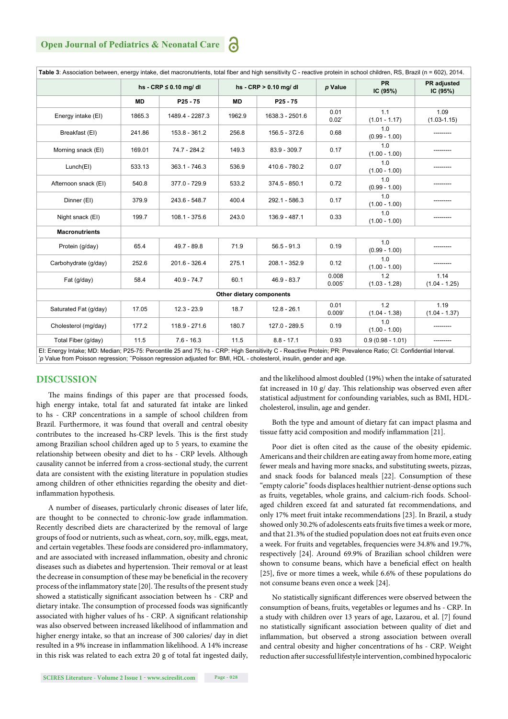### **Open Journal of Pediatrics & Neonatal Care**

| Table 3: Association between, energy intake, diet macronutrients, total fiber and high sensitivity C - reactive protein in school children, RS, Brazil (n = 602), 2014.                                                                                                               |           |                            |                          |                         |                              |                        |                                |
|---------------------------------------------------------------------------------------------------------------------------------------------------------------------------------------------------------------------------------------------------------------------------------------|-----------|----------------------------|--------------------------|-------------------------|------------------------------|------------------------|--------------------------------|
|                                                                                                                                                                                                                                                                                       |           | hs - $CRP \leq 0.10$ mg/dl |                          | hs - $CRP > 0.10$ mg/dl |                              | <b>PR</b><br>IC (95%)  | <b>PR</b> adjusted<br>IC (95%) |
|                                                                                                                                                                                                                                                                                       | <b>MD</b> | $P25 - 75$                 | <b>MD</b>                | $P25 - 75$              |                              |                        |                                |
| Energy intake (EI)                                                                                                                                                                                                                                                                    | 1865.3    | 1489.4 - 2287.3            | 1962.9                   | 1638.3 - 2501.6         | 0.01<br>$0.02^{\circ}$       | 1.1<br>$(1.01 - 1.17)$ | 1.09<br>$(1.03 - 1.15)$        |
| Breakfast (EI)                                                                                                                                                                                                                                                                        | 241.86    | 153.8 - 361.2              | 256.8                    | 156.5 - 372.6           | 0.68                         | 1.0<br>$(0.99 - 1.00)$ |                                |
| Morning snack (EI)                                                                                                                                                                                                                                                                    | 169.01    | 74.7 - 284.2               | 149.3                    | 83.9 - 309.7            | 0.17                         | 1.0<br>$(1.00 - 1.00)$ |                                |
| Lunch(EI)                                                                                                                                                                                                                                                                             | 533.13    | $363.1 - 746.3$            | 536.9                    | 410.6 - 780.2           | 0.07                         | 1.0<br>$(1.00 - 1.00)$ |                                |
| Afternoon snack (EI)                                                                                                                                                                                                                                                                  | 540.8     | 377.0 - 729.9              | 533.2                    | $374.5 - 850.1$         | 0.72                         | 1.0<br>$(0.99 - 1.00)$ |                                |
| Dinner (EI)                                                                                                                                                                                                                                                                           | 379.9     | 243.6 - 548.7              | 400.4                    | 292.1 - 586.3           | 0.17                         | 1.0<br>$(1.00 - 1.00)$ |                                |
| Night snack (EI)                                                                                                                                                                                                                                                                      | 199.7     | $108.1 - 375.6$            | 243.0                    | 136.9 - 487.1           | 0.33                         | 1.0<br>$(1.00 - 1.00)$ |                                |
| <b>Macronutrients</b>                                                                                                                                                                                                                                                                 |           |                            |                          |                         |                              |                        |                                |
| Protein (g/day)                                                                                                                                                                                                                                                                       | 65.4      | 49.7 - 89.8                | 71.9                     | $56.5 - 91.3$           | 0.19                         | 1.0<br>$(0.99 - 1.00)$ |                                |
| Carbohydrate (g/day)                                                                                                                                                                                                                                                                  | 252.6     | 201.6 - 326.4              | 275.1                    | 208.1 - 352.9           | 0.12                         | 1.0<br>$(1.00 - 1.00)$ |                                |
| Fat (g/day)                                                                                                                                                                                                                                                                           | 58.4      | $40.9 - 74.7$              | 60.1                     | $46.9 - 83.7$           | 0.008<br>0.005               | 1.2<br>$(1.03 - 1.28)$ | 1.14<br>$(1.04 - 1.25)$        |
|                                                                                                                                                                                                                                                                                       |           |                            | Other dietary components |                         |                              |                        |                                |
| Saturated Fat (g/day)                                                                                                                                                                                                                                                                 | 17.05     | $12.3 - 23.9$              | 18.7                     | $12.8 - 26.1$           | 0.01<br>$0.009$ <sup>*</sup> | 1.2<br>$(1.04 - 1.38)$ | 1.19<br>$(1.04 - 1.37)$        |
| Cholesterol (mg/day)                                                                                                                                                                                                                                                                  | 177.2     | 118.9 - 271.6              | 180.7                    | 127.0 - 289.5           | 0.19                         | 1.0<br>$(1.00 - 1.00)$ |                                |
| Total Fiber (g/day)                                                                                                                                                                                                                                                                   | 11.5      | $7.6 - 16.3$               | 11.5                     | $8.8 - 17.1$            | 0.93                         | $0.9(0.98 - 1.01)$     |                                |
| El: Energy Intake; MD: Median; P25-75: Percentile 25 and 75; hs - CRP: High Sensitivity C - Reactive Protein; PR: Prevalence Ratio; CI: Confidential Interval.<br>p Value from Poisson regression; "Poisson regression adjusted for: BMI, HDL - cholesterol, insulin, gender and age. |           |                            |                          |                         |                              |                        |                                |

#### **DISCUSSION**

The mains findings of this paper are that processed foods, high energy intake, total fat and saturated fat intake are linked to hs - CRP concentrations in a sample of school children from Brazil. Furthermore, it was found that overall and central obesity contributes to the increased hs-CRP levels. This is the first study among Brazilian school children aged up to 5 years, to examine the relationship between obesity and diet to hs - CRP levels. Although causality cannot be inferred from a cross-sectional study, the current data are consistent with the existing literature in population studies among children of other ethnicities regarding the obesity and dietinflammation hypothesis.

A number of diseases, particularly chronic diseases of later life, are thought to be connected to chronic-low grade inflammation. Recently described diets are characterized by the removal of large groups of food or nutrients, such as wheat, corn, soy, milk, eggs, meat, and certain vegetables. These foods are considered pro-inflammatory, and are associated with increased inflammation, obesity and chronic diseases such as diabetes and hypertension. Their removal or at least the decrease in consumption of these may be beneficial in the recovery process of the inflammatory state [20]. The results of the present study showed a statistically significant association between hs - CRP and dietary intake. The consumption of processed foods was significantly associated with higher values of hs - CRP. A significant relationship was also observed between increased likelihood of inflammation and higher energy intake, so that an increase of 300 calories/ day in diet resulted in a 9% increase in inflammation likelihood. A 14% increase in this risk was related to each extra 20 g of total fat ingested daily, and the likelihood almost doubled (19%) when the intake of saturated fat increased in 10 g/ day. This relationship was observed even after statistical adjustment for confounding variables, such as BMI, HDLcholesterol, insulin, age and gender.

Both the type and amount of dietary fat can impact plasma and tissue fatty acid composition and modify inflammation [21].

Poor diet is often cited as the cause of the obesity epidemic. Americans and their children are eating away from home more, eating fewer meals and having more snacks, and substituting sweets, pizzas, and snack foods for balanced meals [22]. Consumption of these "empty calorie" foods displaces healthier nutrient-dense options such as fruits, vegetables, whole grains, and calcium-rich foods. Schoolaged children exceed fat and saturated fat recommendations, and only 17% meet fruit intake recommendations [23]. In Brazil, a study showed only 30.2% of adolescents eats fruits five times a week or more, and that 21.3% of the studied population does not eat fruits even once a week. For fruits and vegetables, frequencies were 34.8% and 19.7%, respectively [24]. Around 69.9% of Brazilian school children were shown to consume beans, which have a beneficial effect on health [25], five or more times a week, while 6.6% of these populations do not consume beans even once a week [24].

No statistically significant differences were observed between the consumption of beans, fruits, vegetables or legumes and hs - CRP. In a study with children over 13 years of age, Lazarou, et al. [7] found no statistically significant association between quality of diet and inflammation, but observed a strong association between overall and central obesity and higher concentrations of hs - CRP. Weight reduction after successful lifestyle intervention, combined hypocaloric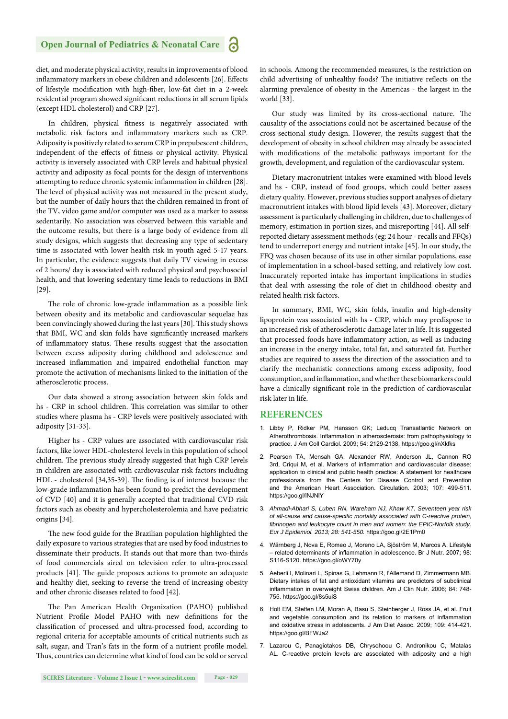#### **Open Journal of Pediatrics & Neonatal Care** a

diet, and moderate physical activity, results in improvements of blood inflammatory markers in obese children and adolescents [26]. Effects of lifestyle modification with high-fiber, low-fat diet in a 2-week residential program showed significant reductions in all serum lipids (except HDL cholesterol) and CRP [27].

In children, physical fitness is negatively associated with metabolic risk factors and inflammatory markers such as CRP. Adiposity is positively related to serum CRP in prepubescent children, independent of the effects of fitness or physical activity. Physical activity is inversely associated with CRP levels and habitual physical activity and adiposity as focal points for the design of interventions attempting to reduce chronic systemic inflammation in children [28]. The level of physical activity was not measured in the present study, but the number of daily hours that the children remained in front of the TV, video game and/or computer was used as a marker to assess sedentarily. No association was observed between this variable and the outcome results, but there is a large body of evidence from all study designs, which suggests that decreasing any type of sedentary time is associated with lower health risk in youth aged 5-17 years. In particular, the evidence suggests that daily TV viewing in excess of 2 hours/ day is associated with reduced physical and psychosocial health, and that lowering sedentary time leads to reductions in BMI [29].

The role of chronic low-grade inflammation as a possible link between obesity and its metabolic and cardiovascular sequelae has been convincingly showed during the last years [30]. This study shows that BMI, WC and skin folds have significantly increased markers of inflammatory status. These results suggest that the association between excess adiposity during childhood and adolescence and increased inflammation and impaired endothelial function may promote the activation of mechanisms linked to the initiation of the atherosclerotic process.

Our data showed a strong association between skin folds and hs - CRP in school children. This correlation was similar to other studies where plasma hs - CRP levels were positively associated with adiposity [31-33].

Higher hs - CRP values are associated with cardiovascular risk factors, like lower HDL-cholesterol levels in this population of school children. The previous study already suggested that high CRP levels in children are associated with cardiovascular risk factors including HDL - cholesterol [34,35-39]. The finding is of interest because the low-grade inflammation has been found to predict the development of CVD [40] and it is generally accepted that traditional CVD risk factors such as obesity and hypercholesterolemia and have pediatric origins [34].

The new food guide for the Brazilian population highlighted the daily exposure to various strategies that are used by food industries to disseminate their products. It stands out that more than two-thirds of food commercials aired on television refer to ultra-processed products [41]. The guide proposes actions to promote an adequate and healthy diet, seeking to reverse the trend of increasing obesity and other chronic diseases related to food [42].

The Pan American Health Organization (PAHO) published Nutrient Profile Model PAHO with new definitions for the classification of processed and ultra-processed food, according to regional criteria for acceptable amounts of critical nutrients such as salt, sugar, and Tran's fats in the form of a nutrient profile model. Thus, countries can determine what kind of food can be sold or served

in schools. Among the recommended measures, is the restriction on child advertising of unhealthy foods? The initiative reflects on the alarming prevalence of obesity in the Americas - the largest in the world [33].

Our study was limited by its cross-sectional nature. The causality of the associations could not be ascertained because of the cross-sectional study design. However, the results suggest that the development of obesity in school children may already be associated with modifications of the metabolic pathways important for the growth, development, and regulation of the cardiovascular system.

Dietary macronutrient intakes were examined with blood levels and hs - CRP, instead of food groups, which could better assess dietary quality. However, previous studies support analyses of dietary macronutrient intakes with blood lipid levels [43]. Moreover, dietary assessment is particularly challenging in children, due to challenges of memory, estimation in portion sizes, and misreporting [44]. All selfreported dietary assessment methods (eg: 24 hour - recalls and FFQs) tend to underreport energy and nutrient intake [45]. In our study, the FFQ was chosen because of its use in other similar populations, ease of implementation in a school-based setting, and relatively low cost. Inaccurately reported intake has important implications in studies that deal with assessing the role of diet in childhood obesity and related health risk factors.

In summary, BMI, WC, skin folds, insulin and high-density lipoprotein was associated with hs - CRP, which may predispose to an increased risk of atherosclerotic damage later in life. It is suggested that processed foods have inflammatory action, as well as inducing an increase in the energy intake, total fat, and saturated fat. Further studies are required to assess the direction of the association and to clarify the mechanistic connections among excess adiposity, food consumption, and inflammation, and whether these biomarkers could have a clinically significant role in the prediction of cardiovascular risk later in life.

#### **REFERENCES**

- 1. Libby P, Ridker PM, Hansson GK; Leducq Transatlantic Network on Atherothrombosis. Inflammation in atherosclerosis: from pathophysiology to practice. J Am Coll Cardiol. 2009; 54: 2129-2138. https://goo.gl/nXkfks
- 2. Pearson TA, Mensah GA, Alexander RW, Anderson JL, Cannon RO 3rd, Criqui M, et al. Markers of inflammation and cardiovascular disease: application to clinical and public health practice: A statement for healthcare professionals from the Centers for Disease Control and Prevention and the American Heart Association. Circulation. 2003; 107: 499-511. https://goo.gl/lNJNlY
- 3. *Ahmadi-Abhari S, Luben RN, Wareham NJ, Khaw KT. Seventeen year risk of all-cause and cause-specifi c mortality associated with C-reactive protein,*  fibrinogen and leukocyte count in men and women: the EPIC-Norfolk study. *Eur J Epidemiol. 2013; 28: 541-550.* https://goo.gl/2E1Pm0
- 4. Wärnberg J, Nova E, Romeo J, Moreno LA, Sjöström M, Marcos A. Lifestyle – related determinants of inflammation in adolescence. Br J Nutr. 2007; 98: S116-S120. https://goo.gl/oWY70y
- 5. Aeberli I, Molinari L, Spinas G, Lehmann R, l'Allemand D, Zimmermann MB. Dietary intakes of fat and antioxidant vitamins are predictors of subclinical inflammation in overweight Swiss children. Am J Clin Nutr. 2006; 84: 748-755. https://goo.gl/8s5uiS
- 6. Holt EM, Steffen LM, Moran A, Basu S, Steinberger J, Ross JA, et al. Fruit and vegetable consumption and its relation to markers of inflammation and oxidative stress in adolescents. J Am Diet Assoc. 2009; 109: 414-421. https://goo.gl/BFWJa2
- 7. Lazarou C, Panagiotakos DB, Chrysohoou C, Andronikou C, Matalas AL. C-reactive protein levels are associated with adiposity and a high